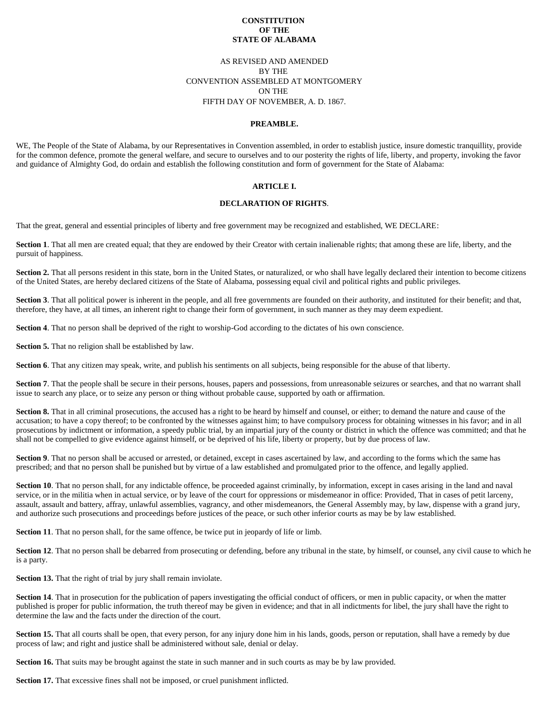#### **CONSTITUTION OF THE STATE OF ALABAMA**

# AS REVISED AND AMENDED BY THE CONVENTION ASSEMBLED AT MONTGOMERY ON THE FIFTH DAY OF NOVEMBER, A. D. 1867.

#### **PREAMBLE.**

WE, The People of the State of Alabama, by our Representatives in Convention assembled, in order to establish justice, insure domestic tranquillity, provide for the common defence, promote the general welfare, and secure to ourselves and to our posterity the rights of life, liberty, and property, invoking the favor and guidance of Almighty God, do ordain and establish the following constitution and form of government for the State of Alabama:

## **ARTICLE I.**

#### **DECLARATION OF RIGHTS**.

That the great, general and essential principles of liberty and free government may be recognized and established, WE DECLARE:

**Section 1**. That all men are created equal; that they are endowed by their Creator with certain inalienable rights; that among these are life, liberty, and the pursuit of happiness.

Section 2. That all persons resident in this state, born in the United States, or naturalized, or who shall have legally declared their intention to become citizens of the United States, are hereby declared citizens of the State of Alabama, possessing equal civil and political rights and public privileges.

Section 3. That all political power is inherent in the people, and all free governments are founded on their authority, and instituted for their benefit; and that, therefore, they have, at all times, an inherent right to change their form of government, in such manner as they may deem expedient.

**Section 4**. That no person shall be deprived of the right to worship-God according to the dictates of his own conscience.

**Section 5.** That no religion shall be established by law.

**Section 6**. That any citizen may speak, write, and publish his sentiments on all subjects, being responsible for the abuse of that liberty.

Section 7. That the people shall be secure in their persons, houses, papers and possessions, from unreasonable seizures or searches, and that no warrant shall issue to search any place, or to seize any person or thing without probable cause, supported by oath or affirmation.

Section 8. That in all criminal prosecutions, the accused has a right to be heard by himself and counsel, or either; to demand the nature and cause of the accusation; to have a copy thereof; to be confronted by the witnesses against him; to have compulsory process for obtaining witnesses in his favor; and in all prosecutions by indictment or information, a speedy public trial, by an impartial jury of the county or district in which the offence was committed; and that he shall not be compelled to give evidence against himself, or be deprived of his life, liberty or property, but by due process of law.

Section 9. That no person shall be accused or arrested, or detained, except in cases ascertained by law, and according to the forms which the same has prescribed; and that no person shall be punished but by virtue of a law established and promulgated prior to the offence, and legally applied.

**Section 10**. That no person shall, for any indictable offence, be proceeded against criminally, by information, except in cases arising in the land and naval service, or in the militia when in actual service, or by leave of the court for oppressions or misdemeanor in office: Provided, That in cases of petit larceny, assault, assault and battery, affray, unlawful assemblies, vagrancy, and other misdemeanors, the General Assembly may, by law, dispense with a grand jury, and authorize such prosecutions and proceedings before justices of the peace, or such other inferior courts as may be by law established.

**Section 11**. That no person shall, for the same offence, be twice put in jeopardy of life or limb.

Section 12. That no person shall be debarred from prosecuting or defending, before any tribunal in the state, by himself, or counsel, any civil cause to which he is a party.

**Section 13.** That the right of trial by jury shall remain inviolate.

Section 14. That in prosecution for the publication of papers investigating the official conduct of officers, or men in public capacity, or when the matter published is proper for public information, the truth thereof may be given in evidence; and that in all indictments for libel, the jury shall have the right to determine the law and the facts under the direction of the court.

**Section 15.** That all courts shall be open, that every person, for any injury done him in his lands, goods, person or reputation, shall have a remedy by due process of law; and right and justice shall be administered without sale, denial or delay.

**Section 16.** That suits may be brought against the state in such manner and in such courts as may be by law provided.

**Section 17.** That excessive fines shall not be imposed, or cruel punishment inflicted.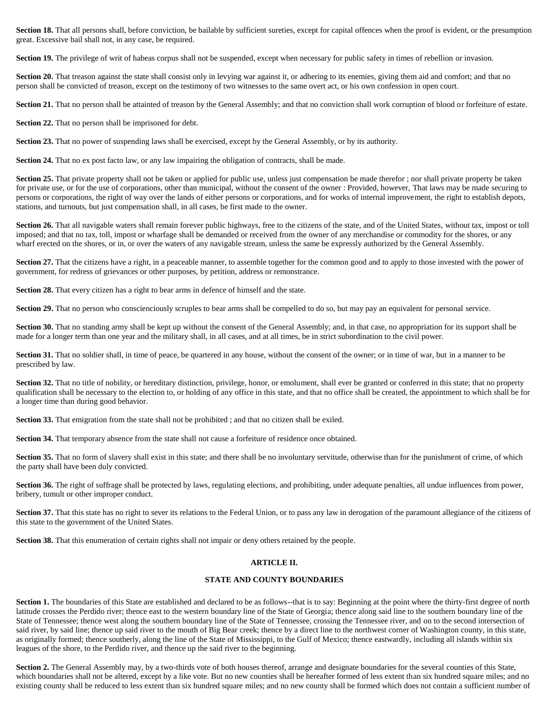Section 18. That all persons shall, before conviction, be bailable by sufficient sureties, except for capital offences when the proof is evident, or the presumption great. Excessive bail shall not, in any case, be required.

Section 19. The privilege of writ of habeas corpus shall not be suspended, except when necessary for public safety in times of rebellion or invasion.

Section 20. That treason against the state shall consist only in levying war against it, or adhering to its enemies, giving them aid and comfort; and that no person shall be convicted of treason, except on the testimony of two witnesses to the same overt act, or his own confession in open court.

Section 21. That no person shall be attainted of treason by the General Assembly; and that no conviction shall work corruption of blood or forfeiture of estate.

**Section 22.** That no person shall be imprisoned for debt.

**Section 23.** That no power of suspending laws shall be exercised, except by the General Assembly, or by its authority.

**Section 24.** That no ex post facto law, or any law impairing the obligation of contracts, shall be made.

**Section 25.** That private property shall not be taken or applied for public use, unless just compensation be made therefor; nor shall private property be taken for private use, or for the use of corporations, other than municipal, without the consent of the owner : Provided, however, That laws may be made securing to persons or corporations, the right of way over the lands of either persons or corporations, and for works of internal improvement, the right to establish depots, stations, and turnouts, but just compensation shall, in all cases, be first made to the owner.

Section 26. That all navigable waters shall remain forever public highways, free to the citizens of the state, and of the United States, without tax, impost or toll imposed; and that no tax, toll, impost or wharfage shall be demanded or received from the owner of any merchandise or commodity for the shores, or any wharf erected on the shores, or in, or over the waters of any navigable stream, unless the same be expressly authorized by the General Assembly.

Section 27. That the citizens have a right, in a peaceable manner, to assemble together for the common good and to apply to those invested with the power of government, for redress of grievances or other purposes, by petition, address or remonstrance.

**Section 28.** That every citizen has a right to bear arms in defence of himself and the state.

Section 29. That no person who conscienciously scruples to bear arms shall be compelled to do so, but may pay an equivalent for personal service.

Section 30. That no standing army shall be kept up without the consent of the General Assembly; and, in that case, no appropriation for its support shall be made for a longer term than one year and the military shall, in all cases, and at all times, be in strict subordination to the civil power.

Section 31. That no soldier shall, in time of peace, be quartered in any house, without the consent of the owner; or in time of war, but in a manner to be prescribed by law.

Section 32. That no title of nobility, or hereditary distinction, privilege, honor, or emolument, shall ever be granted or conferred in this state; that no property qualification shall be necessary to the election to, or holding of any office in this state, and that no office shall be created, the appointment to which shall be for a longer time than during good behavior.

**Section 33.** That emigration from the state shall not be prohibited; and that no citizen shall be exiled.

**Section 34.** That temporary absence from the state shall not cause a forfeiture of residence once obtained.

Section 35. That no form of slavery shall exist in this state; and there shall be no involuntary servitude, otherwise than for the punishment of crime, of which the party shall have been duly convicted.

**Section 36.** The right of suffrage shall be protected by laws, regulating elections, and prohibiting, under adequate penalties, all undue influences from power, bribery, tumult or other improper conduct.

Section 37. That this state has no right to sever its relations to the Federal Union, or to pass any law in derogation of the paramount allegiance of the citizens of this state to the government of the United States.

**Section 38.** That this enumeration of certain rights shall not impair or deny others retained by the people.

## **ARTICLE II.**

## **STATE AND COUNTY BOUNDARIES**

Section 1. The boundaries of this State are established and declared to be as follows--that is to say: Beginning at the point where the thirty-first degree of north latitude crosses the Perdido river; thence east to the western boundary line of the State of Georgia; thence along said line to the southern boundary line of the State of Tennessee; thence west along the southern boundary line of the State of Tennessee, crossing the Tennessee river, and on to the second intersection of said river, by said line; thence up said river to the mouth of Big Bear creek; thence by a direct line to the northwest corner of Washington county, in this state, as originally formed; thence southerly, along the line of the State of Mississippi, to the Gulf of Mexico; thence eastwardly, including all islands within six leagues of the shore, to the Perdido river, and thence up the said river to the beginning.

**Section 2.** The General Assembly may, by a two-thirds vote of both houses thereof, arrange and designate boundaries for the several counties of this State, which boundaries shall not be altered, except by a like vote. But no new counties shall be hereafter formed of less extent than six hundred square miles; and no existing county shall be reduced to less extent than six hundred square miles; and no new county shall be formed which does not contain a sufficient number of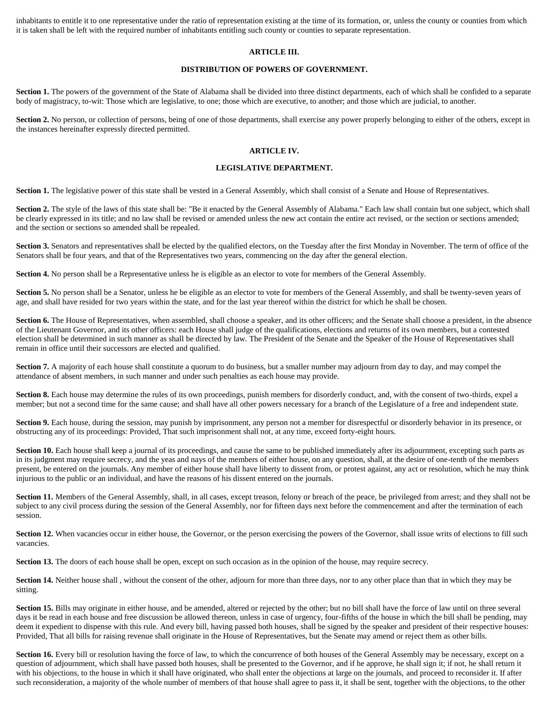inhabitants to entitle it to one representative under the ratio of representation existing at the time of its formation, or, unless the county or counties from which it is taken shall be left with the required number of inhabitants entitling such county or counties to separate representation.

## **ARTICLE III.**

## **DISTRIBUTION OF POWERS OF GOVERNMENT.**

Section 1. The powers of the government of the State of Alabama shall be divided into three distinct departments, each of which shall be confided to a separate body of magistracy, to-wit: Those which are legislative, to one; those which are executive, to another; and those which are judicial, to another.

**Section 2.** No person, or collection of persons, being of one of those departments, shall exercise any power properly belonging to either of the others, except in the instances hereinafter expressly directed permitted.

## **ARTICLE IV.**

## **LEGISLATIVE DEPARTMENT.**

Section 1. The legislative power of this state shall be vested in a General Assembly, which shall consist of a Senate and House of Representatives.

**Section 2.** The style of the laws of this state shall be: "Be it enacted by the General Assembly of Alabama." Each law shall contain but one subject, which shall be clearly expressed in its title; and no law shall be revised or amended unless the new act contain the entire act revised, or the section or sections amended; and the section or sections so amended shall be repealed.

Section 3. Senators and representatives shall be elected by the qualified electors, on the Tuesday after the first Monday in November. The term of office of the Senators shall be four years, and that of the Representatives two years, commencing on the day after the general election.

**Section 4.** No person shall be a Representative unless he is eligible as an elector to vote for members of the General Assembly.

Section 5. No person shall be a Senator, unless he be eligible as an elector to vote for members of the General Assembly, and shall be twenty-seven years of age, and shall have resided for two years within the state, and for the last year thereof within the district for which he shall be chosen.

Section 6. The House of Representatives, when assembled, shall choose a speaker, and its other officers; and the Senate shall choose a president, in the absence of the Lieutenant Governor, and its other officers: each House shall judge of the qualifications, elections and returns of its own members, but a contested election shall be determined in such manner as shall be directed by law. The President of the Senate and the Speaker of the House of Representatives shall remain in office until their successors are elected and qualified.

**Section 7.** A majority of each house shall constitute a quorum to do business, but a smaller number may adjourn from day to day, and may compel the attendance of absent members, in such manner and under such penalties as each house may provide.

Section 8. Each house may determine the rules of its own proceedings, punish members for disorderly conduct, and, with the consent of two-thirds, expel a member; but not a second time for the same cause; and shall have all other powers necessary for a branch of the Legislature of a free and independent state.

Section 9. Each house, during the session, may punish by imprisonment, any person not a member for disrespectful or disorderly behavior in its presence, or obstructing any of its proceedings: Provided, That such imprisonment shall not, at any time, exceed forty-eight hours.

Section 10. Each house shall keep a journal of its proceedings, and cause the same to be published immediately after its adjournment, excepting such parts as in its judgment may require secrecy, and the yeas and nays of the members of either house, on any question, shall, at the desire of one-tenth of the members present, be entered on the journals. Any member of either house shall have liberty to dissent from, or protest against, any act or resolution, which he may think injurious to the public or an individual, and have the reasons of his dissent entered on the journals.

Section 11. Members of the General Assembly, shall, in all cases, except treason, felony or breach of the peace, be privileged from arrest; and they shall not be subject to any civil process during the session of the General Assembly, nor for fifteen days next before the commencement and after the termination of each session.

**Section 12.** When vacancies occur in either house, the Governor, or the person exercising the powers of the Governor, shall issue writs of elections to fill such vacancies.

**Section 13.** The doors of each house shall be open, except on such occasion as in the opinion of the house, may require secrecy.

**Section 14.** Neither house shall, without the consent of the other, adjourn for more than three days, nor to any other place than that in which they may be sitting.

**Section 15.** Bills may originate in either house, and be amended, altered or rejected by the other; but no bill shall have the force of law until on three several days it be read in each house and free discussion be allowed thereon, unless in case of urgency, four-fifths of the house in which the bill shall be pending, may deem it expedient to dispense with this rule. And every bill, having passed both houses, shall be signed by the speaker and president of their respective houses: Provided, That all bills for raising revenue shall originate in the House of Representatives, but the Senate may amend or reject them as other bills.

Section 16. Every bill or resolution having the force of law, to which the concurrence of both houses of the General Assembly may be necessary, except on a question of adjournment, which shall have passed both houses, shall be presented to the Governor, and if he approve, he shall sign it; if not, he shall return it with his objections, to the house in which it shall have originated, who shall enter the objections at large on the journals, and proceed to reconsider it. If after such reconsideration, a majority of the whole number of members of that house shall agree to pass it, it shall be sent, together with the objections, to the other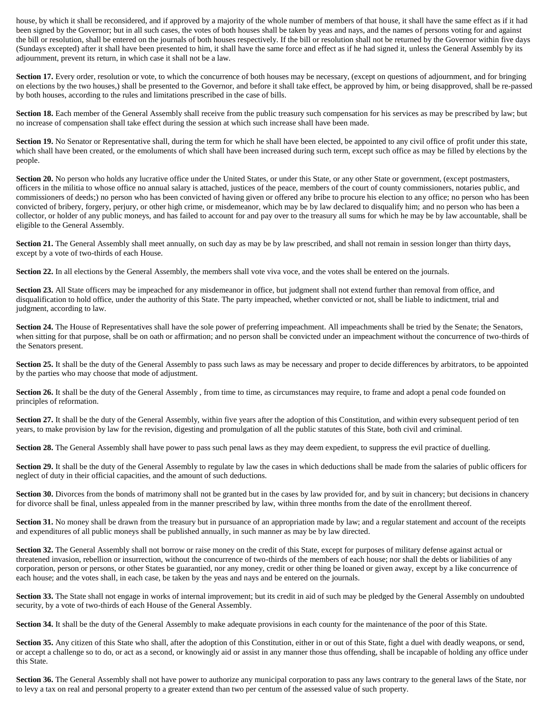house, by which it shall be reconsidered, and if approved by a majority of the whole number of members of that house, it shall have the same effect as if it had been signed by the Governor; but in all such cases, the votes of both houses shall be taken by yeas and nays, and the names of persons voting for and against the bill or resolution, shall be entered on the journals of both houses respectively. If the bill or resolution shall not be returned by the Governor within five days (Sundays excepted) after it shall have been presented to him, it shall have the same force and effect as if he had signed it, unless the General Assembly by its adjournment, prevent its return, in which case it shall not be a law.

Section 17. Every order, resolution or vote, to which the concurrence of both houses may be necessary, (except on questions of adjournment, and for bringing on elections by the two houses,) shall be presented to the Governor, and before it shall take effect, be approved by him, or being disapproved, shall be re-passed by both houses, according to the rules and limitations prescribed in the case of bills.

Section 18. Each member of the General Assembly shall receive from the public treasury such compensation for his services as may be prescribed by law; but no increase of compensation shall take effect during the session at which such increase shall have been made.

Section 19. No Senator or Representative shall, during the term for which he shall have been elected, be appointed to any civil office of profit under this state, which shall have been created, or the emoluments of which shall have been increased during such term, except such office as may be filled by elections by the people.

Section 20. No person who holds any lucrative office under the United States, or under this State, or any other State or government, (except postmasters, officers in the militia to whose office no annual salary is attached, justices of the peace, members of the court of county commissioners, notaries public, and commissioners of deeds;) no person who has been convicted of having given or offered any bribe to procure his election to any office; no person who has been convicted of bribery, forgery, perjury, or other high crime, or misdemeanor, which may be by law declared to disqualify him; and no person who has been a collector, or holder of any public moneys, and has failed to account for and pay over to the treasury all sums for which he may be by law accountable, shall be eligible to the General Assembly.

**Section 21.** The General Assembly shall meet annually, on such day as may be by law prescribed, and shall not remain in session longer than thirty days, except by a vote of two-thirds of each House.

Section 22. In all elections by the General Assembly, the members shall vote viva voce, and the votes shall be entered on the journals.

Section 23. All State officers may be impeached for any misdemeanor in office, but judgment shall not extend further than removal from office, and disqualification to hold office, under the authority of this State. The party impeached, whether convicted or not, shall be liable to indictment, trial and judgment, according to law.

Section 24. The House of Representatives shall have the sole power of preferring impeachment. All impeachments shall be tried by the Senate; the Senators, when sitting for that purpose, shall be on oath or affirmation; and no person shall be convicted under an impeachment without the concurrence of two-thirds of the Senators present.

Section 25. It shall be the duty of the General Assembly to pass such laws as may be necessary and proper to decide differences by arbitrators, to be appointed by the parties who may choose that mode of adjustment.

Section 26. It shall be the duty of the General Assembly, from time to time, as circumstances may require, to frame and adopt a penal code founded on principles of reformation.

Section 27. It shall be the duty of the General Assembly, within five years after the adoption of this Constitution, and within every subsequent period of ten years, to make provision by law for the revision, digesting and promulgation of all the public statutes of this State, both civil and criminal.

**Section 28.** The General Assembly shall have power to pass such penal laws as they may deem expedient, to suppress the evil practice of duelling.

Section 29. It shall be the duty of the General Assembly to regulate by law the cases in which deductions shall be made from the salaries of public officers for neglect of duty in their official capacities, and the amount of such deductions.

**Section 30.** Divorces from the bonds of matrimony shall not be granted but in the cases by law provided for, and by suit in chancery; but decisions in chancery for divorce shall be final, unless appealed from in the manner prescribed by law, within three months from the date of the enrollment thereof.

Section 31. No money shall be drawn from the treasury but in pursuance of an appropriation made by law; and a regular statement and account of the receipts and expenditures of all public moneys shall be published annually, in such manner as may be by law directed.

Section 32. The General Assembly shall not borrow or raise money on the credit of this State, except for purposes of military defense against actual or threatened invasion, rebellion or insurrection, without the concurrence of two-thirds of the members of each house; nor shall the debts or liabilities of any corporation, person or persons, or other States be guarantied, nor any money, credit or other thing be loaned or given away, except by a like concurrence of each house; and the votes shall, in each case, be taken by the yeas and nays and be entered on the journals.

Section 33. The State shall not engage in works of internal improvement; but its credit in aid of such may be pledged by the General Assembly on undoubted security, by a vote of two-thirds of each House of the General Assembly.

Section 34. It shall be the duty of the General Assembly to make adequate provisions in each county for the maintenance of the poor of this State.

Section 35. Any citizen of this State who shall, after the adoption of this Constitution, either in or out of this State, fight a duel with deadly weapons, or send, or accept a challenge so to do, or act as a second, or knowingly aid or assist in any manner those thus offending, shall be incapable of holding any office under this State.

Section 36. The General Assembly shall not have power to authorize any municipal corporation to pass any laws contrary to the general laws of the State, nor to levy a tax on real and personal property to a greater extend than two per centum of the assessed value of such property.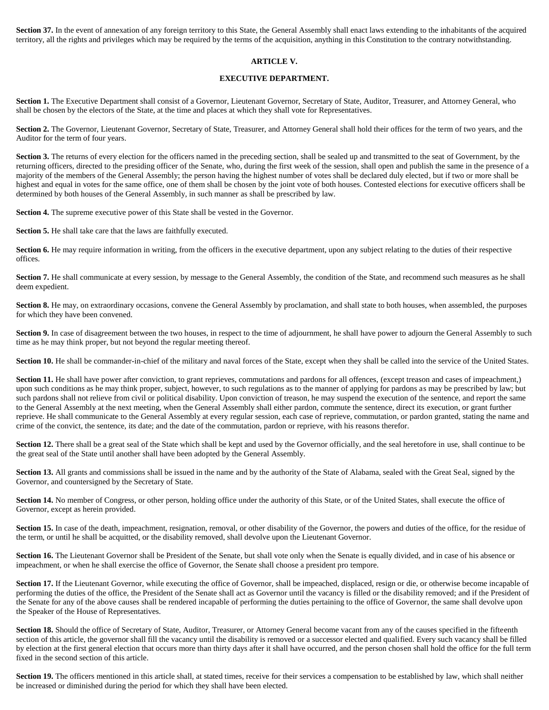Section 37. In the event of annexation of any foreign territory to this State, the General Assembly shall enact laws extending to the inhabitants of the acquired territory, all the rights and privileges which may be required by the terms of the acquisition, anything in this Constitution to the contrary notwithstanding.

### **ARTICLE V.**

#### **EXECUTIVE DEPARTMENT.**

**Section 1.** The Executive Department shall consist of a Governor, Lieutenant Governor, Secretary of State, Auditor, Treasurer, and Attorney General, who shall be chosen by the electors of the State, at the time and places at which they shall vote for Representatives.

Section 2. The Governor, Lieutenant Governor, Secretary of State, Treasurer, and Attorney General shall hold their offices for the term of two years, and the Auditor for the term of four years.

Section 3. The returns of every election for the officers named in the preceding section, shall be sealed up and transmitted to the seat of Government, by the returning officers, directed to the presiding officer of the Senate, who, during the first week of the session, shall open and publish the same in the presence of a majority of the members of the General Assembly; the person having the highest number of votes shall be declared duly elected, but if two or more shall be highest and equal in votes for the same office, one of them shall be chosen by the joint vote of both houses. Contested elections for executive officers shall be determined by both houses of the General Assembly, in such manner as shall be prescribed by law.

**Section 4.** The supreme executive power of this State shall be vested in the Governor.

**Section 5.** He shall take care that the laws are faithfully executed.

Section 6. He may require information in writing, from the officers in the executive department, upon any subject relating to the duties of their respective offices.

**Section 7.** He shall communicate at every session, by message to the General Assembly, the condition of the State, and recommend such measures as he shall deem expedient.

Section 8. He may, on extraordinary occasions, convene the General Assembly by proclamation, and shall state to both houses, when assembled, the purposes for which they have been convened.

Section 9. In case of disagreement between the two houses, in respect to the time of adjournment, he shall have power to adjourn the General Assembly to such time as he may think proper, but not beyond the regular meeting thereof.

Section 10. He shall be commander-in-chief of the military and naval forces of the State, except when they shall be called into the service of the United States.

Section 11. He shall have power after conviction, to grant reprieves, commutations and pardons for all offences, (except treason and cases of impeachment,) upon such conditions as he may think proper, subject, however, to such regulations as to the manner of applying for pardons as may be prescribed by law; but such pardons shall not relieve from civil or political disability. Upon conviction of treason, he may suspend the execution of the sentence, and report the same to the General Assembly at the next meeting, when the General Assembly shall either pardon, commute the sentence, direct its execution, or grant further reprieve. He shall communicate to the General Assembly at every regular session, each case of reprieve, commutation, or pardon granted, stating the name and crime of the convict, the sentence, its date; and the date of the commutation, pardon or reprieve, with his reasons therefor.

Section 12. There shall be a great seal of the State which shall be kept and used by the Governor officially, and the seal heretofore in use, shall continue to be the great seal of the State until another shall have been adopted by the General Assembly.

Section 13. All grants and commissions shall be issued in the name and by the authority of the State of Alabama, sealed with the Great Seal, signed by the Governor, and countersigned by the Secretary of State.

Section 14. No member of Congress, or other person, holding office under the authority of this State, or of the United States, shall execute the office of Governor, except as herein provided.

Section 15. In case of the death, impeachment, resignation, removal, or other disability of the Governor, the powers and duties of the office, for the residue of the term, or until he shall be acquitted, or the disability removed, shall devolve upon the Lieutenant Governor.

Section 16. The Lieutenant Governor shall be President of the Senate, but shall vote only when the Senate is equally divided, and in case of his absence or impeachment, or when he shall exercise the office of Governor, the Senate shall choose a president pro tempore.

**Section 17.** If the Lieutenant Governor, while executing the office of Governor, shall be impeached, displaced, resign or die, or otherwise become incapable of performing the duties of the office, the President of the Senate shall act as Governor until the vacancy is filled or the disability removed; and if the President of the Senate for any of the above causes shall be rendered incapable of performing the duties pertaining to the office of Governor, the same shall devolve upon the Speaker of the House of Representatives.

Section 18. Should the office of Secretary of State, Auditor, Treasurer, or Attorney General become vacant from any of the causes specified in the fifteenth section of this article, the governor shall fill the vacancy until the disability is removed or a successor elected and qualified. Every such vacancy shall be filled by election at the first general election that occurs more than thirty days after it shall have occurred, and the person chosen shall hold the office for the full term fixed in the second section of this article.

Section 19. The officers mentioned in this article shall, at stated times, receive for their services a compensation to be established by law, which shall neither be increased or diminished during the period for which they shall have been elected.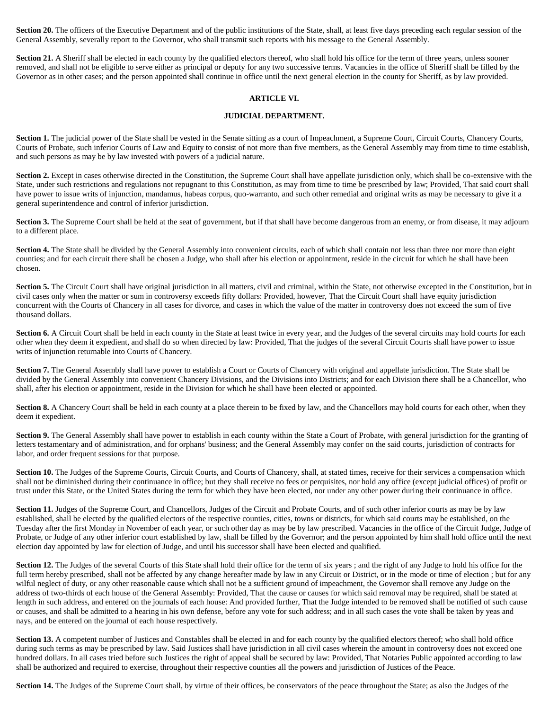Section 20. The officers of the Executive Department and of the public institutions of the State, shall, at least five days preceding each regular session of the General Assembly, severally report to the Governor, who shall transmit such reports with his message to the General Assembly.

Section 21. A Sheriff shall be elected in each county by the qualified electors thereof, who shall hold his office for the term of three years, unless sooner removed, and shall not be eligible to serve either as principal or deputy for any two successive terms. Vacancies in the office of Sheriff shall be filled by the Governor as in other cases; and the person appointed shall continue in office until the next general election in the county for Sheriff, as by law provided.

# **ARTICLE VI.**

## **JUDICIAL DEPARTMENT.**

Section 1. The judicial power of the State shall be vested in the Senate sitting as a court of Impeachment, a Supreme Court, Circuit Courts, Chancery Courts, Courts of Probate, such inferior Courts of Law and Equity to consist of not more than five members, as the General Assembly may from time to time establish, and such persons as may be by law invested with powers of a judicial nature.

**Section 2.** Except in cases otherwise directed in the Constitution, the Supreme Court shall have appellate jurisdiction only, which shall be co-extensive with the State, under such restrictions and regulations not repugnant to this Constitution, as may from time to time be prescribed by law; Provided, That said court shall have power to issue writs of injunction, mandamus, habeas corpus, quo-warranto, and such other remedial and original writs as may be necessary to give it a general superintendence and control of inferior jurisdiction.

Section 3. The Supreme Court shall be held at the seat of government, but if that shall have become dangerous from an enemy, or from disease, it may adjourn to a different place.

Section 4. The State shall be divided by the General Assembly into convenient circuits, each of which shall contain not less than three nor more than eight counties; and for each circuit there shall be chosen a Judge, who shall after his election or appointment, reside in the circuit for which he shall have been chosen.

Section 5. The Circuit Court shall have original jurisdiction in all matters, civil and criminal, within the State, not otherwise excepted in the Constitution, but in civil cases only when the matter or sum in controversy exceeds fifty dollars: Provided, however, That the Circuit Court shall have equity jurisdiction concurrent with the Courts of Chancery in all cases for divorce, and cases in which the value of the matter in controversy does not exceed the sum of five thousand dollars.

Section 6. A Circuit Court shall be held in each county in the State at least twice in every year, and the Judges of the several circuits may hold courts for each other when they deem it expedient, and shall do so when directed by law: Provided, That the judges of the several Circuit Courts shall have power to issue writs of injunction returnable into Courts of Chancery.

Section 7. The General Assembly shall have power to establish a Court or Courts of Chancery with original and appellate jurisdiction. The State shall be divided by the General Assembly into convenient Chancery Divisions, and the Divisions into Districts; and for each Division there shall be a Chancellor, who shall, after his election or appointment, reside in the Division for which he shall have been elected or appointed.

Section 8. A Chancery Court shall be held in each county at a place therein to be fixed by law, and the Chancellors may hold courts for each other, when they deem it expedient.

**Section 9.** The General Assembly shall have power to establish in each county within the State a Court of Probate, with general jurisdiction for the granting of letters testamentary and of administration, and for orphans' business; and the General Assembly may confer on the said courts, jurisdiction of contracts for labor, and order frequent sessions for that purpose.

Section 10. The Judges of the Supreme Courts, Circuit Courts, and Courts of Chancery, shall, at stated times, receive for their services a compensation which shall not be diminished during their continuance in office; but they shall receive no fees or perquisites, nor hold any office (except judicial offices) of profit or trust under this State, or the United States during the term for which they have been elected, nor under any other power during their continuance in office.

Section 11. Judges of the Supreme Court, and Chancellors, Judges of the Circuit and Probate Courts, and of such other inferior courts as may be by law established, shall be elected by the qualified electors of the respective counties, cities, towns or districts, for which said courts may be established, on the Tuesday after the first Monday in November of each year, or such other day as may be by law prescribed. Vacancies in the office of the Circuit Judge, Judge of Probate, or Judge of any other inferior court established by law, shall be filled by the Governor; and the person appointed by him shall hold office until the next election day appointed by law for election of Judge, and until his successor shall have been elected and qualified.

Section 12. The Judges of the several Courts of this State shall hold their office for the term of six years; and the right of any Judge to hold his office for the full term hereby prescribed, shall not be affected by any change hereafter made by law in any Circuit or District, or in the mode or time of election; but for any wilful neglect of duty, or any other reasonable cause which shall not be a sufficient ground of impeachment, the Governor shall remove any Judge on the address of two-thirds of each house of the General Assembly: Provided, That the cause or causes for which said removal may be required, shall be stated at length in such address, and entered on the journals of each house: And provided further, That the Judge intended to be removed shall be notified of such cause or causes, and shall be admitted to a hearing in his own defense, before any vote for such address; and in all such cases the vote shall be taken by yeas and nays, and be entered on the journal of each house respectively.

Section 13. A competent number of Justices and Constables shall be elected in and for each county by the qualified electors thereof; who shall hold office during such terms as may be prescribed by law. Said Justices shall have jurisdiction in all civil cases wherein the amount in controversy does not exceed one hundred dollars. In all cases tried before such Justices the right of appeal shall be secured by law: Provided, That Notaries Public appointed according to law shall be authorized and required to exercise, throughout their respective counties all the powers and jurisdiction of Justices of the Peace.

Section 14. The Judges of the Supreme Court shall, by virtue of their offices, be conservators of the peace throughout the State; as also the Judges of the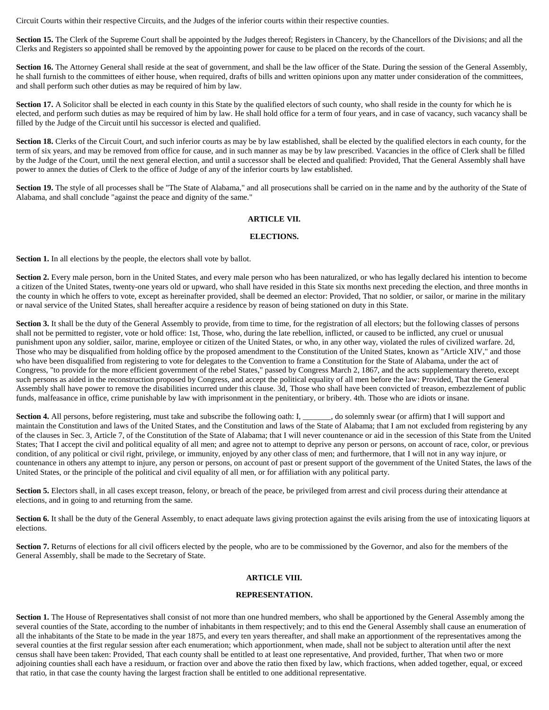Circuit Courts within their respective Circuits, and the Judges of the inferior courts within their respective counties.

Section 15. The Clerk of the Supreme Court shall be appointed by the Judges thereof; Registers in Chancery, by the Chancellors of the Divisions; and all the Clerks and Registers so appointed shall be removed by the appointing power for cause to be placed on the records of the court.

Section 16. The Attorney General shall reside at the seat of government, and shall be the law officer of the State. During the session of the General Assembly, he shall furnish to the committees of either house, when required, drafts of bills and written opinions upon any matter under consideration of the committees, and shall perform such other duties as may be required of him by law.

**Section 17.** A Solicitor shall be elected in each county in this State by the qualified electors of such county, who shall reside in the county for which he is elected, and perform such duties as may be required of him by law. He shall hold office for a term of four years, and in case of vacancy, such vacancy shall be filled by the Judge of the Circuit until his successor is elected and qualified.

Section 18. Clerks of the Circuit Court, and such inferior courts as may be by law established, shall be elected by the qualified electors in each county, for the term of six years, and may be removed from office for cause, and in such manner as may be by law prescribed. Vacancies in the office of Clerk shall be filled by the Judge of the Court, until the next general election, and until a successor shall be elected and qualified: Provided, That the General Assembly shall have power to annex the duties of Clerk to the office of Judge of any of the inferior courts by law established.

Section 19. The style of all processes shall be "The State of Alabama," and all prosecutions shall be carried on in the name and by the authority of the State of Alabama, and shall conclude "against the peace and dignity of the same."

## **ARTICLE VII.**

## **ELECTIONS.**

**Section 1.** In all elections by the people, the electors shall vote by ballot.

Section 2. Every male person, born in the United States, and every male person who has been naturalized, or who has legally declared his intention to become a citizen of the United States, twenty-one years old or upward, who shall have resided in this State six months next preceding the election, and three months in the county in which he offers to vote, except as hereinafter provided, shall be deemed an elector: Provided, That no soldier, or sailor, or marine in the military or naval service of the United States, shall hereafter acquire a residence by reason of being stationed on duty in this State.

Section 3. It shall be the duty of the General Assembly to provide, from time to time, for the registration of all electors; but the following classes of persons shall not be permitted to register, vote or hold office: 1st, Those, who, during the late rebellion, inflicted, or caused to be inflicted, any cruel or unusual punishment upon any soldier, sailor, marine, employee or citizen of the United States, or who, in any other way, violated the rules of civilized warfare. 2d, Those who may be disqualified from holding office by the proposed amendment to the Constitution of the United States, known as "Article XIV," and those who have been disqualified from registering to vote for delegates to the Convention to frame a Constitution for the State of Alabama, under the act of Congress, "to provide for the more efficient government of the rebel States," passed by Congress March 2, 1867, and the acts supplementary thereto, except such persons as aided in the reconstruction proposed by Congress, and accept the political equality of all men before the law: Provided, That the General Assembly shall have power to remove the disabilities incurred under this clause. 3d, Those who shall have been convicted of treason, embezzlement of public funds, malfeasance in office, crime punishable by law with imprisonment in the penitentiary, or bribery. 4th. Those who are idiots or insane.

Section 4. All persons, before registering, must take and subscribe the following oath: I, \_\_\_\_\_\_, do solemnly swear (or affirm) that I will support and maintain the Constitution and laws of the United States, and the Constitution and laws of the State of Alabama; that I am not excluded from registering by any of the clauses in Sec. 3, Article 7, of the Constitution of the State of Alabama; that I will never countenance or aid in the secession of this State from the United States; That I accept the civil and political equality of all men; and agree not to attempt to deprive any person or persons, on account of race, color, or previous condition, of any political or civil right, privilege, or immunity, enjoyed by any other class of men; and furthermore, that I will not in any way injure, or countenance in others any attempt to injure, any person or persons, on account of past or present support of the government of the United States, the laws of the United States, or the principle of the political and civil equality of all men, or for affiliation with any political party.

Section 5. Electors shall, in all cases except treason, felony, or breach of the peace, be privileged from arrest and civil process during their attendance at elections, and in going to and returning from the same.

Section 6. It shall be the duty of the General Assembly, to enact adequate laws giving protection against the evils arising from the use of intoxicating liquors at elections.

**Section 7.** Returns of elections for all civil officers elected by the people, who are to be commissioned by the Governor, and also for the members of the General Assembly, shall be made to the Secretary of State.

# **ARTICLE VIII.**

## **REPRESENTATION.**

Section 1. The House of Representatives shall consist of not more than one hundred members, who shall be apportioned by the General Assembly among the several counties of the State, according to the number of inhabitants in them respectively; and to this end the General Assembly shall cause an enumeration of all the inhabitants of the State to be made in the year 1875, and every ten years thereafter, and shall make an apportionment of the representatives among the several counties at the first regular session after each enumeration; which apportionment, when made, shall not be subject to alteration until after the next census shall have been taken: Provided, That each county shall be entitled to at least one representative, And provided, further, That when two or more adjoining counties shall each have a residuum, or fraction over and above the ratio then fixed by law, which fractions, when added together, equal, or exceed that ratio, in that case the county having the largest fraction shall be entitled to one additional representative.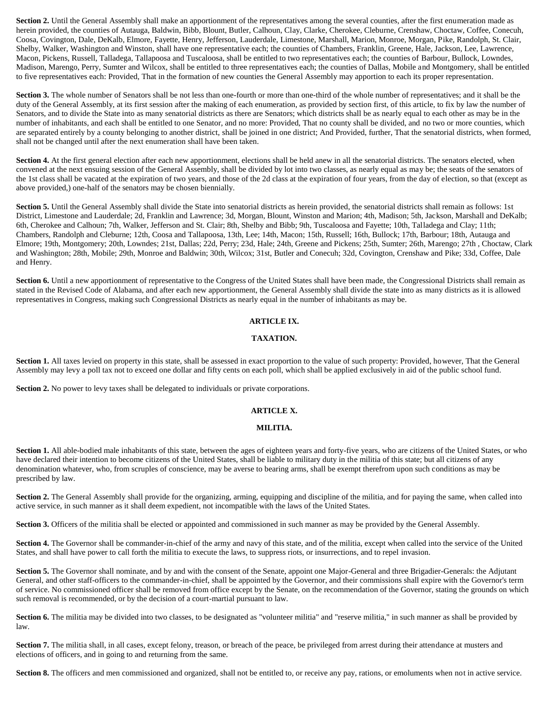**Section 2.** Until the General Assembly shall make an apportionment of the representatives among the several counties, after the first enumeration made as herein provided, the counties of Autauga, Baldwin, Bibb, Blount, Butler, Calhoun, Clay, Clarke, Cherokee, Cleburne, Crenshaw, Choctaw, Coffee, Conecuh, Coosa, Covington, Dale, DeKalb, Elmore, Fayette, Henry, Jefferson, Lauderdale, Limestone, Marshall, Marion, Monroe, Morgan, Pike, Randolph, St. Clair, Shelby, Walker, Washington and Winston, shall have one representative each; the counties of Chambers, Franklin, Greene, Hale, Jackson, Lee, Lawrence, Macon, Pickens, Russell, Talladega, Tallapoosa and Tuscaloosa, shall be entitled to two representatives each; the counties of Barbour, Bullock, Lowndes, Madison, Marengo, Perry, Sumter and Wilcox, shall be entitled to three representatives each; the counties of Dallas, Mobile and Montgomery, shall be entitled to five representatives each: Provided, That in the formation of new counties the General Assembly may apportion to each its proper representation.

Section 3. The whole number of Senators shall be not less than one-fourth or more than one-third of the whole number of representatives; and it shall be the duty of the General Assembly, at its first session after the making of each enumeration, as provided by section first, of this article, to fix by law the number of Senators, and to divide the State into as many senatorial districts as there are Senators; which districts shall be as nearly equal to each other as may be in the number of inhabitants, and each shall be entitled to one Senator, and no more: Provided, That no county shall be divided, and no two or more counties, which are separated entirely by a county belonging to another district, shall be joined in one district; And Provided, further, That the senatorial districts, when formed, shall not be changed until after the next enumeration shall have been taken.

Section 4. At the first general election after each new apportionment, elections shall be held anew in all the senatorial districts. The senators elected, when convened at the next ensuing session of the General Assembly, shall be divided by lot into two classes, as nearly equal as may be; the seats of the senators of the 1st class shall be vacated at the expiration of two years, and those of the 2d class at the expiration of four years, from the day of election, so that (except as above provided,) one-half of the senators may be chosen biennially.

Section 5. Until the General Assembly shall divide the State into senatorial districts as herein provided, the senatorial districts shall remain as follows: 1st District, Limestone and Lauderdale; 2d, Franklin and Lawrence; 3d, Morgan, Blount, Winston and Marion; 4th, Madison; 5th, Jackson, Marshall and DeKalb; 6th, Cherokee and Calhoun; 7th, Walker, Jefferson and St. Clair; 8th, Shelby and Bibb; 9th, Tuscaloosa and Fayette; 10th, Talladega and Clay; 11th; Chambers, Randolph and Cleburne; 12th, Coosa and Tallapoosa, 13th, Lee; 14th, Macon; 15th, Russell; 16th, Bullock; 17th, Barbour; 18th, Autauga and Elmore; 19th, Montgomery; 20th, Lowndes; 21st, Dallas; 22d, Perry; 23d, Hale; 24th, Greene and Pickens; 25th, Sumter; 26th, Marengo; 27th , Choctaw, Clark and Washington; 28th, Mobile; 29th, Monroe and Baldwin; 30th, Wilcox; 31st, Butler and Conecuh; 32d, Covington, Crenshaw and Pike; 33d, Coffee, Dale and Henry.

Section 6. Until a new apportionment of representative to the Congress of the United States shall have been made, the Congressional Districts shall remain as stated in the Revised Code of Alabama, and after each new apportionment, the General Assembly shall divide the state into as many districts as it is allowed representatives in Congress, making such Congressional Districts as nearly equal in the number of inhabitants as may be.

## **ARTICLE IX.**

## **TAXATION.**

Section 1. All taxes levied on property in this state, shall be assessed in exact proportion to the value of such property: Provided, however, That the General Assembly may levy a poll tax not to exceed one dollar and fifty cents on each poll, which shall be applied exclusively in aid of the public school fund.

**Section 2.** No power to levy taxes shall be delegated to individuals or private corporations.

## **ARTICLE X.**

## **MILITIA.**

Section 1. All able-bodied male inhabitants of this state, between the ages of eighteen years and forty-five years, who are citizens of the United States, or who have declared their intention to become citizens of the United States, shall be liable to military duty in the militia of this state; but all citizens of any denomination whatever, who, from scruples of conscience, may be averse to bearing arms, shall be exempt therefrom upon such conditions as may be prescribed by law.

**Section 2.** The General Assembly shall provide for the organizing, arming, equipping and discipline of the militia, and for paying the same, when called into active service, in such manner as it shall deem expedient, not incompatible with the laws of the United States.

**Section 3.** Officers of the militia shall be elected or appointed and commissioned in such manner as may be provided by the General Assembly.

Section 4. The Governor shall be commander-in-chief of the army and navy of this state, and of the militia, except when called into the service of the United States, and shall have power to call forth the militia to execute the laws, to suppress riots, or insurrections, and to repel invasion.

Section 5. The Governor shall nominate, and by and with the consent of the Senate, appoint one Major-General and three Brigadier-Generals: the Adjutant General, and other staff-officers to the commander-in-chief, shall be appointed by the Governor, and their commissions shall expire with the Governor's term of service. No commissioned officer shall be removed from office except by the Senate, on the recommendation of the Governor, stating the grounds on which such removal is recommended, or by the decision of a court-martial pursuant to law.

Section 6. The militia may be divided into two classes, to be designated as "volunteer militia" and "reserve militia," in such manner as shall be provided by law.

Section 7. The militia shall, in all cases, except felony, treason, or breach of the peace, be privileged from arrest during their attendance at musters and elections of officers, and in going to and returning from the same.

**Section 8.** The officers and men commissioned and organized, shall not be entitled to, or receive any pay, rations, or emoluments when not in active service.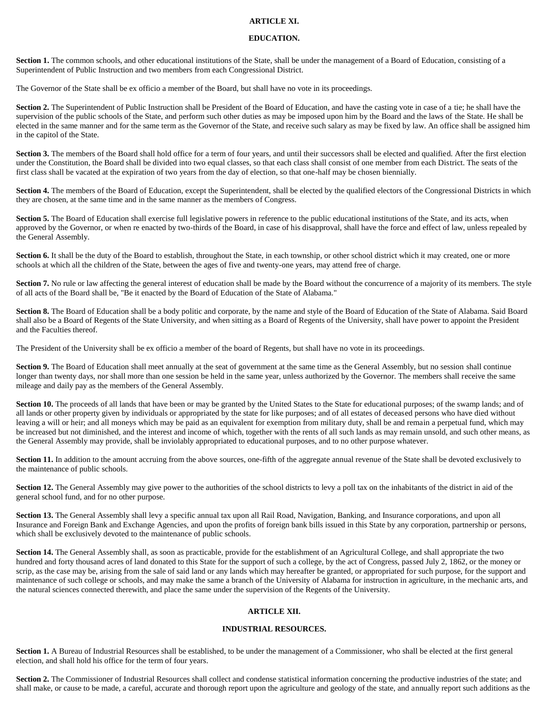## **ARTICLE XI.**

#### **EDUCATION.**

Section 1. The common schools, and other educational institutions of the State, shall be under the management of a Board of Education, consisting of a Superintendent of Public Instruction and two members from each Congressional District.

The Governor of the State shall be ex officio a member of the Board, but shall have no vote in its proceedings.

**Section 2.** The Superintendent of Public Instruction shall be President of the Board of Education, and have the casting vote in case of a tie; he shall have the supervision of the public schools of the State, and perform such other duties as may be imposed upon him by the Board and the laws of the State. He shall be elected in the same manner and for the same term as the Governor of the State, and receive such salary as may be fixed by law. An office shall be assigned him in the capitol of the State.

Section 3. The members of the Board shall hold office for a term of four years, and until their successors shall be elected and qualified. After the first election under the Constitution, the Board shall be divided into two equal classes, so that each class shall consist of one member from each District. The seats of the first class shall be vacated at the expiration of two years from the day of election, so that one-half may be chosen biennially.

Section 4. The members of the Board of Education, except the Superintendent, shall be elected by the qualified electors of the Congressional Districts in which they are chosen, at the same time and in the same manner as the members of Congress.

Section 5. The Board of Education shall exercise full legislative powers in reference to the public educational institutions of the State, and its acts, when approved by the Governor, or when re enacted by two-thirds of the Board, in case of his disapproval, shall have the force and effect of law, unless repealed by the General Assembly.

Section 6. It shall be the duty of the Board to establish, throughout the State, in each township, or other school district which it may created, one or more schools at which all the children of the State, between the ages of five and twenty-one years, may attend free of charge.

Section 7. No rule or law affecting the general interest of education shall be made by the Board without the concurrence of a majority of its members. The style of all acts of the Board shall be, "Be it enacted by the Board of Education of the State of Alabama."

Section 8. The Board of Education shall be a body politic and corporate, by the name and style of the Board of Education of the State of Alabama. Said Board shall also be a Board of Regents of the State University, and when sitting as a Board of Regents of the University, shall have power to appoint the President and the Faculties thereof.

The President of the University shall be ex officio a member of the board of Regents, but shall have no vote in its proceedings.

Section 9. The Board of Education shall meet annually at the seat of government at the same time as the General Assembly, but no session shall continue longer than twenty days, nor shall more than one session be held in the same year, unless authorized by the Governor. The members shall receive the same mileage and daily pay as the members of the General Assembly.

Section 10. The proceeds of all lands that have been or may be granted by the United States to the State for educational purposes; of the swamp lands; and of all lands or other property given by individuals or appropriated by the state for like purposes; and of all estates of deceased persons who have died without leaving a will or heir; and all moneys which may be paid as an equivalent for exemption from military duty, shall be and remain a perpetual fund, which may be increased but not diminished, and the interest and income of which, together with the rents of all such lands as may remain unsold, and such other means, as the General Assembly may provide, shall be inviolably appropriated to educational purposes, and to no other purpose whatever.

Section 11. In addition to the amount accruing from the above sources, one-fifth of the aggregate annual revenue of the State shall be devoted exclusively to the maintenance of public schools.

Section 12. The General Assembly may give power to the authorities of the school districts to levy a poll tax on the inhabitants of the district in aid of the general school fund, and for no other purpose.

Section 13. The General Assembly shall levy a specific annual tax upon all Rail Road, Navigation, Banking, and Insurance corporations, and upon all Insurance and Foreign Bank and Exchange Agencies, and upon the profits of foreign bank bills issued in this State by any corporation, partnership or persons, which shall be exclusively devoted to the maintenance of public schools.

**Section 14.** The General Assembly shall, as soon as practicable, provide for the establishment of an Agricultural College, and shall appropriate the two hundred and forty thousand acres of land donated to this State for the support of such a college, by the act of Congress, passed July 2, 1862, or the money or scrip, as the case may be, arising from the sale of said land or any lands which may hereafter be granted, or appropriated for such purpose, for the support and maintenance of such college or schools, and may make the same a branch of the University of Alabama for instruction in agriculture, in the mechanic arts, and the natural sciences connected therewith, and place the same under the supervision of the Regents of the University.

# **ARTICLE XII.**

#### **INDUSTRIAL RESOURCES.**

Section 1. A Bureau of Industrial Resources shall be established, to be under the management of a Commissioner, who shall be elected at the first general election, and shall hold his office for the term of four years.

Section 2. The Commissioner of Industrial Resources shall collect and condense statistical information concerning the productive industries of the state; and shall make, or cause to be made, a careful, accurate and thorough report upon the agriculture and geology of the state, and annually report such additions as the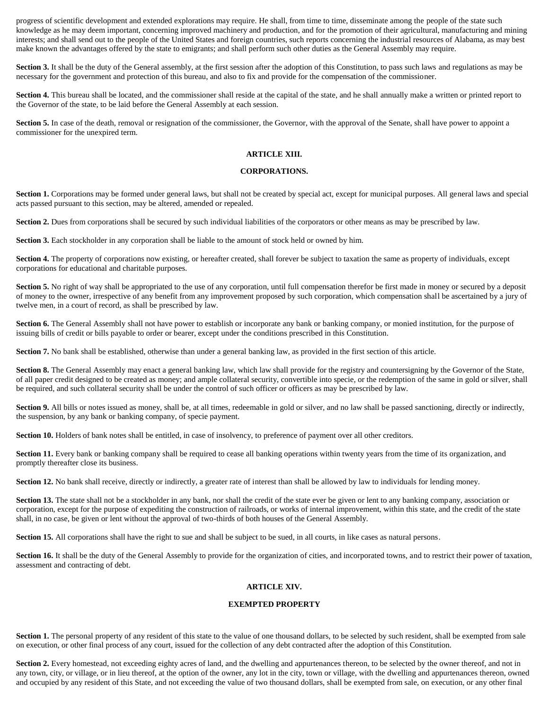progress of scientific development and extended explorations may require. He shall, from time to time, disseminate among the people of the state such knowledge as he may deem important, concerning improved machinery and production, and for the promotion of their agricultural, manufacturing and mining interests; and shall send out to the people of the United States and foreign countries, such reports concerning the industrial resources of Alabama, as may best make known the advantages offered by the state to emigrants; and shall perform such other duties as the General Assembly may require.

Section 3. It shall be the duty of the General assembly, at the first session after the adoption of this Constitution, to pass such laws and regulations as may be necessary for the government and protection of this bureau, and also to fix and provide for the compensation of the commissioner.

Section 4. This bureau shall be located, and the commissioner shall reside at the capital of the state, and he shall annually make a written or printed report to the Governor of the state, to be laid before the General Assembly at each session.

Section 5. In case of the death, removal or resignation of the commissioner, the Governor, with the approval of the Senate, shall have power to appoint a commissioner for the unexpired term.

## **ARTICLE XIII.**

## **CORPORATIONS.**

Section 1. Corporations may be formed under general laws, but shall not be created by special act, except for municipal purposes. All general laws and special acts passed pursuant to this section, may be altered, amended or repealed.

Section 2. Dues from corporations shall be secured by such individual liabilities of the corporators or other means as may be prescribed by law.

**Section 3.** Each stockholder in any corporation shall be liable to the amount of stock held or owned by him.

Section 4. The property of corporations now existing, or hereafter created, shall forever be subject to taxation the same as property of individuals, except corporations for educational and charitable purposes.

**Section 5.** No right of way shall be appropriated to the use of any corporation, until full compensation therefor be first made in money or secured by a deposit of money to the owner, irrespective of any benefit from any improvement proposed by such corporation, which compensation shall be ascertained by a jury of twelve men, in a court of record, as shall be prescribed by law.

Section 6. The General Assembly shall not have power to establish or incorporate any bank or banking company, or monied institution, for the purpose of issuing bills of credit or bills payable to order or bearer, except under the conditions prescribed in this Constitution.

**Section 7.** No bank shall be established, otherwise than under a general banking law, as provided in the first section of this article.

Section 8. The General Assembly may enact a general banking law, which law shall provide for the registry and countersigning by the Governor of the State, of all paper credit designed to be created as money; and ample collateral security, convertible into specie, or the redemption of the same in gold or silver, shall be required, and such collateral security shall be under the control of such officer or officers as may be prescribed by law.

Section 9. All bills or notes issued as money, shall be, at all times, redeemable in gold or silver, and no law shall be passed sanctioning, directly or indirectly, the suspension, by any bank or banking company, of specie payment.

**Section 10.** Holders of bank notes shall be entitled, in case of insolvency, to preference of payment over all other creditors.

Section 11. Every bank or banking company shall be required to cease all banking operations within twenty years from the time of its organization, and promptly thereafter close its business.

Section 12. No bank shall receive, directly or indirectly, a greater rate of interest than shall be allowed by law to individuals for lending money.

Section 13. The state shall not be a stockholder in any bank, nor shall the credit of the state ever be given or lent to any banking company, association or corporation, except for the purpose of expediting the construction of railroads, or works of internal improvement, within this state, and the credit of the state shall, in no case, be given or lent without the approval of two-thirds of both houses of the General Assembly.

Section 15. All corporations shall have the right to sue and shall be subject to be sued, in all courts, in like cases as natural persons.

Section 16. It shall be the duty of the General Assembly to provide for the organization of cities, and incorporated towns, and to restrict their power of taxation, assessment and contracting of debt.

# **ARTICLE XIV.**

## **EXEMPTED PROPERTY**

Section 1. The personal property of any resident of this state to the value of one thousand dollars, to be selected by such resident, shall be exempted from sale on execution, or other final process of any court, issued for the collection of any debt contracted after the adoption of this Constitution.

Section 2. Every homestead, not exceeding eighty acres of land, and the dwelling and appurtenances thereon, to be selected by the owner thereof, and not in any town, city, or village, or in lieu thereof, at the option of the owner, any lot in the city, town or village, with the dwelling and appurtenances thereon, owned and occupied by any resident of this State, and not exceeding the value of two thousand dollars, shall be exempted from sale, on execution, or any other final